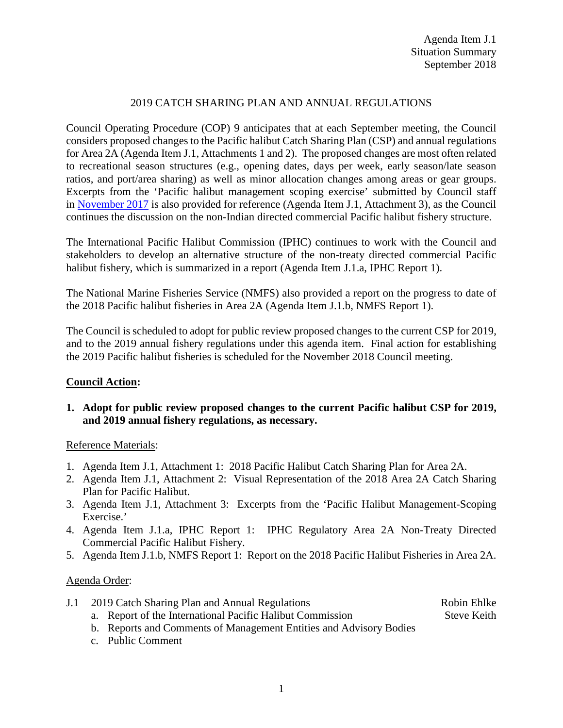## 2019 CATCH SHARING PLAN AND ANNUAL REGULATIONS

Council Operating Procedure (COP) 9 anticipates that at each September meeting, the Council considers proposed changes to the Pacific halibut Catch Sharing Plan (CSP) and annual regulations for Area 2A (Agenda Item J.1, Attachments 1 and 2). The proposed changes are most often related to recreational season structures (e.g., opening dates, days per week, early season/late season ratios, and port/area sharing) as well as minor allocation changes among areas or gear groups. Excerpts from the 'Pacific halibut management scoping exercise' submitted by Council staff in [November 2017](http://www.pcouncil.org/wp-content/uploads/2017/10/E1_Att3_Scoping-Matrix_NOV2017BB.pdf) is also provided for reference (Agenda Item J.1, Attachment 3), as the Council continues the discussion on the non-Indian directed commercial Pacific halibut fishery structure.

The International Pacific Halibut Commission (IPHC) continues to work with the Council and stakeholders to develop an alternative structure of the non-treaty directed commercial Pacific halibut fishery, which is summarized in a report (Agenda Item J.1.a, IPHC Report 1).

The National Marine Fisheries Service (NMFS) also provided a report on the progress to date of the 2018 Pacific halibut fisheries in Area 2A (Agenda Item J.1.b, NMFS Report 1).

The Council is scheduled to adopt for public review proposed changes to the current CSP for 2019, and to the 2019 annual fishery regulations under this agenda item. Final action for establishing the 2019 Pacific halibut fisheries is scheduled for the November 2018 Council meeting.

## **Council Action:**

**1. Adopt for public review proposed changes to the current Pacific halibut CSP for 2019, and 2019 annual fishery regulations, as necessary.**

## Reference Materials:

- 1. Agenda Item J.1, Attachment 1: 2018 Pacific Halibut Catch Sharing Plan for Area 2A.
- 2. Agenda Item J.1, Attachment 2: Visual Representation of the 2018 Area 2A Catch Sharing Plan for Pacific Halibut.
- 3. Agenda Item J.1, Attachment 3: Excerpts from the 'Pacific Halibut Management-Scoping Exercise.'
- 4. Agenda Item J.1.a, IPHC Report 1: IPHC Regulatory Area 2A Non-Treaty Directed Commercial Pacific Halibut Fishery.
- 5. Agenda Item J.1.b, NMFS Report 1: Report on the 2018 Pacific Halibut Fisheries in Area 2A.

## Agenda Order:

|  | J.1 2019 Catch Sharing Plan and Annual Regulations | Robin Ehlke |
|--|----------------------------------------------------|-------------|
|--|----------------------------------------------------|-------------|

- a. Report of the International Pacific Halibut Commission Steve Keith
- b. Reports and Comments of Management Entities and Advisory Bodies
- c. Public Comment